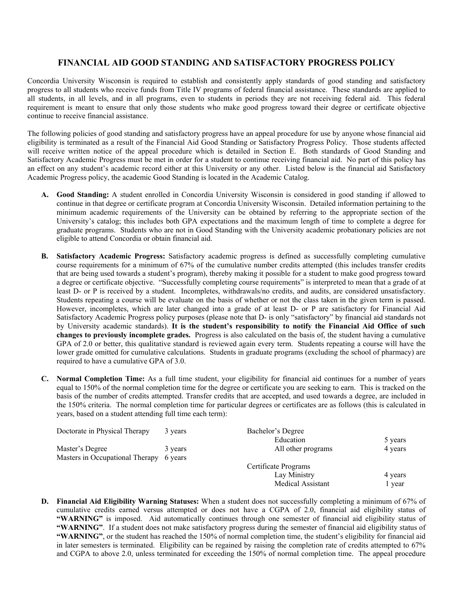## **FINANCIAL AID GOOD STANDING AND SATISFACTORY PROGRESS POLICY**

Concordia University Wisconsin is required to establish and consistently apply standards of good standing and satisfactory progress to all students who receive funds from Title IV programs of federal financial assistance. These standards are applied to all students, in all levels, and in all programs, even to students in periods they are not receiving federal aid. This federal requirement is meant to ensure that only those students who make good progress toward their degree or certificate objective continue to receive financial assistance.

The following policies of good standing and satisfactory progress have an appeal procedure for use by anyone whose financial aid eligibility is terminated as a result of the Financial Aid Good Standing or Satisfactory Progress Policy. Those students affected will receive written notice of the appeal procedure which is detailed in Section E. Both standards of Good Standing and Satisfactory Academic Progress must be met in order for a student to continue receiving financial aid. No part of this policy has an effect on any student's academic record either at this University or any other. Listed below is the financial aid Satisfactory Academic Progress policy, the academic Good Standing is located in the Academic Catalog.

- **A. Good Standing:** A student enrolled in Concordia University Wisconsin is considered in good standing if allowed to continue in that degree or certificate program at Concordia University Wisconsin. Detailed information pertaining to the minimum academic requirements of the University can be obtained by referring to the appropriate section of the University's catalog; this includes both GPA expectations and the maximum length of time to complete a degree for graduate programs. Students who are not in Good Standing with the University academic probationary policies are not eligible to attend Concordia or obtain financial aid.
- **B. Satisfactory Academic Progress:** Satisfactory academic progress is defined as successfully completing cumulative course requirements for a minimum of 67% of the cumulative number credits attempted (this includes transfer credits that are being used towards a student's program), thereby making it possible for a student to make good progress toward a degree or certificate objective. "Successfully completing course requirements" is interpreted to mean that a grade of at least D- or P is received by a student. Incompletes, withdrawals/no credits, and audits, are considered unsatisfactory. Students repeating a course will be evaluate on the basis of whether or not the class taken in the given term is passed. However, incompletes, which are later changed into a grade of at least D- or P are satisfactory for Financial Aid Satisfactory Academic Progress policy purposes (please note that D- is only "satisfactory" by financial aid standards not by University academic standards). **It is the student's responsibility to notify the Financial Aid Office of such changes to previously incomplete grades.** Progress is also calculated on the basis of, the student having a cumulative GPA of 2.0 or better, this qualitative standard is reviewed again every term. Students repeating a course will have the lower grade omitted for cumulative calculations. Students in graduate programs (excluding the school of pharmacy) are required to have a cumulative GPA of 3.0.
- **C. Normal Completion Time:** As a full time student, your eligibility for financial aid continues for a number of years equal to 150% of the normal completion time for the degree or certificate you are seeking to earn. This is tracked on the basis of the number of credits attempted. Transfer credits that are accepted, and used towards a degree, are included in the 150% criteria. The normal completion time for particular degrees or certificates are as follows (this is calculated in years, based on a student attending full time each term):

| 3 years                                    | Bachelor's Degree    |         |
|--------------------------------------------|----------------------|---------|
|                                            | Education            | 5 years |
| 3 years                                    | All other programs   | 4 years |
| Masters in Occupational Therapy<br>6 years |                      |         |
|                                            | Certificate Programs |         |
|                                            | Lay Ministry         | 4 years |
|                                            | Medical Assistant    | vear    |
|                                            |                      |         |

**D. Financial Aid Eligibility Warning Statuses:** When a student does not successfully completing a minimum of 67% of cumulative credits earned versus attempted or does not have a CGPA of 2.0, financial aid eligibility status of **"WARNING"** is imposed. Aid automatically continues through one semester of financial aid eligibility status of **"WARNING"**. If a student does not make satisfactory progress during the semester of financial aid eligibility status of **"WARNING"**, or the student has reached the 150% of normal completion time, the student's eligibility for financial aid in later semesters is terminated. Eligibility can be regained by raising the completion rate of credits attempted to 67% and CGPA to above 2.0, unless terminated for exceeding the 150% of normal completion time. The appeal procedure